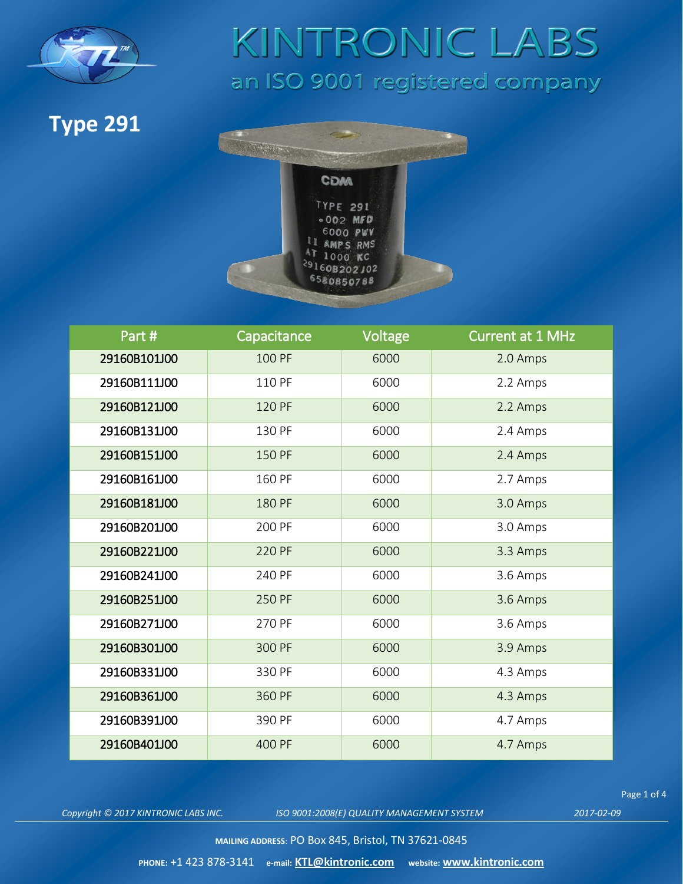

#### **Type 291**



| Part#        | Capacitance | Voltage | <b>Current at 1 MHz</b> |
|--------------|-------------|---------|-------------------------|
| 29160B101J00 | 100 PF      | 6000    | 2.0 Amps                |
| 29160B111J00 | 110 PF      | 6000    | 2.2 Amps                |
| 29160B121J00 | 120 PF      | 6000    | 2.2 Amps                |
| 29160B131J00 | 130 PF      | 6000    | 2.4 Amps                |
| 29160B151J00 | 150 PF      | 6000    | 2.4 Amps                |
| 29160B161J00 | 160 PF      | 6000    | 2.7 Amps                |
| 29160B181J00 | 180 PF      | 6000    | 3.0 Amps                |
| 29160B201J00 | 200 PF      | 6000    | 3.0 Amps                |
| 29160B221J00 | 220 PF      | 6000    | 3.3 Amps                |
| 29160B241J00 | 240 PF      | 6000    | 3.6 Amps                |
| 29160B251J00 | 250 PF      | 6000    | 3.6 Amps                |
| 29160B271J00 | 270 PF      | 6000    | 3.6 Amps                |
| 29160B301J00 | 300 PF      | 6000    | 3.9 Amps                |
| 29160B331J00 | 330 PF      | 6000    | 4.3 Amps                |
| 29160B361J00 | 360 PF      | 6000    | 4.3 Amps                |
| 29160B391J00 | 390 PF      | 6000    | 4.7 Amps                |
| 29160B401J00 | 400 PF      | 6000    | 4.7 Amps                |

*Copyright © 2017 KINTRONIC LABS INC. ISO 9001:2008(E) QUALITY MANAGEMENT SYSTEM 2017-02-09*

Page 1 of 4

**MAILING ADDRESS**: PO Box 845, Bristol, TN 37621-0845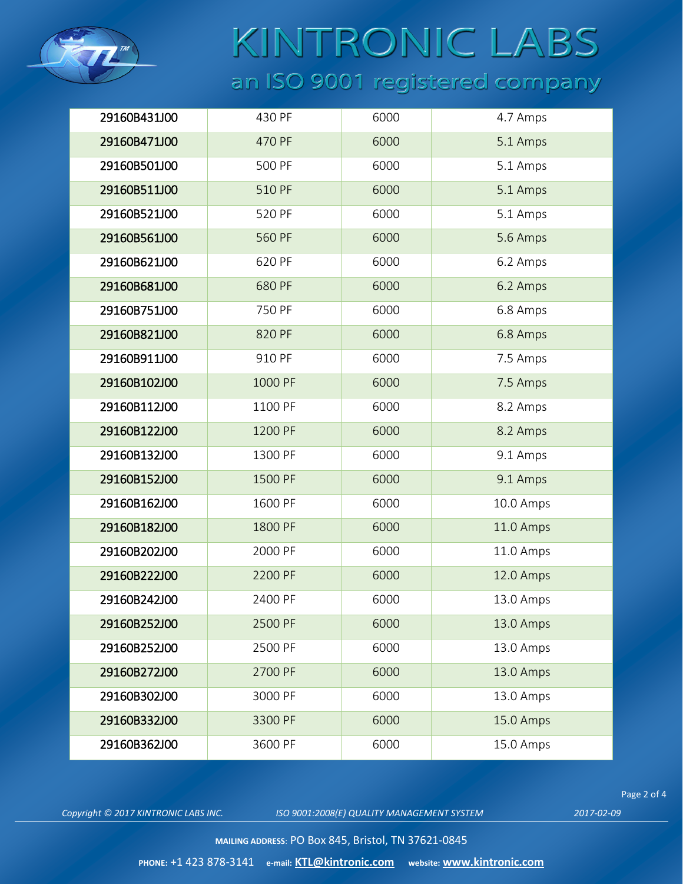

| 29160B431J00 | 430 PF  | 6000 | 4.7 Amps  |
|--------------|---------|------|-----------|
| 29160B471J00 | 470 PF  | 6000 | 5.1 Amps  |
| 29160B501J00 | 500 PF  | 6000 | 5.1 Amps  |
| 29160B511J00 | 510 PF  | 6000 | 5.1 Amps  |
| 29160B521J00 | 520 PF  | 6000 | 5.1 Amps  |
| 29160B561J00 | 560 PF  | 6000 | 5.6 Amps  |
| 29160B621J00 | 620 PF  | 6000 | 6.2 Amps  |
| 29160B681J00 | 680 PF  | 6000 | 6.2 Amps  |
| 29160B751J00 | 750 PF  | 6000 | 6.8 Amps  |
| 29160B821J00 | 820 PF  | 6000 | 6.8 Amps  |
| 29160B911J00 | 910 PF  | 6000 | 7.5 Amps  |
| 29160B102J00 | 1000 PF | 6000 | 7.5 Amps  |
| 29160B112J00 | 1100 PF | 6000 | 8.2 Amps  |
| 29160B122J00 | 1200 PF | 6000 | 8.2 Amps  |
| 29160B132J00 | 1300 PF | 6000 | 9.1 Amps  |
| 29160B152J00 | 1500 PF | 6000 | 9.1 Amps  |
| 29160B162J00 | 1600 PF | 6000 | 10.0 Amps |
| 29160B182J00 | 1800 PF | 6000 | 11.0 Amps |
| 29160B202J00 | 2000 PF | 6000 | 11.0 Amps |
| 29160B222J00 | 2200 PF | 6000 | 12.0 Amps |
| 29160B242J00 | 2400 PF | 6000 | 13.0 Amps |
| 29160B252J00 | 2500 PF | 6000 | 13.0 Amps |
| 29160B252J00 | 2500 PF | 6000 | 13.0 Amps |
| 29160B272J00 | 2700 PF | 6000 | 13.0 Amps |
| 29160B302J00 | 3000 PF | 6000 | 13.0 Amps |
| 29160B332J00 | 3300 PF | 6000 | 15.0 Amps |
| 29160B362J00 | 3600 PF | 6000 | 15.0 Amps |

*Copyright © 2017 KINTRONIC LABS INC. ISO 9001:2008(E) QUALITY MANAGEMENT SYSTEM 2017-02-09*

Page 2 of 4

**MAILING ADDRESS**: PO Box 845, Bristol, TN 37621-0845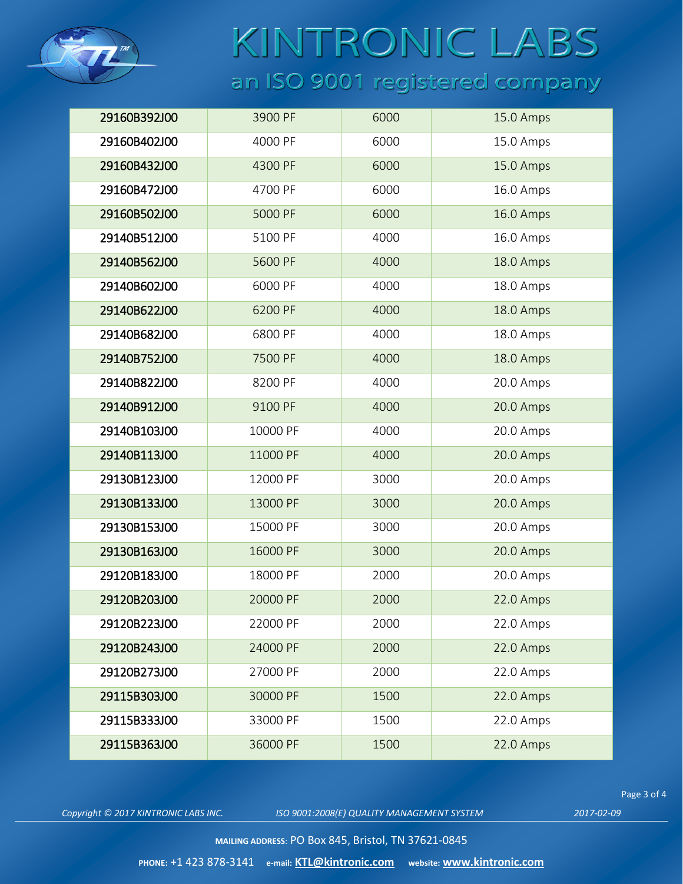

| 29160B392J00 | 3900 PF  | 6000 | 15.0 Amps |
|--------------|----------|------|-----------|
| 29160B402J00 | 4000 PF  | 6000 | 15.0 Amps |
| 29160B432J00 | 4300 PF  | 6000 | 15.0 Amps |
| 29160B472J00 | 4700 PF  | 6000 | 16.0 Amps |
| 29160B502J00 | 5000 PF  | 6000 | 16.0 Amps |
| 29140B512J00 | 5100 PF  | 4000 | 16.0 Amps |
| 29140B562J00 | 5600 PF  | 4000 | 18.0 Amps |
| 29140B602J00 | 6000 PF  | 4000 | 18.0 Amps |
| 29140B622J00 | 6200 PF  | 4000 | 18.0 Amps |
| 29140B682J00 | 6800 PF  | 4000 | 18.0 Amps |
| 29140B752J00 | 7500 PF  | 4000 | 18.0 Amps |
| 29140B822J00 | 8200 PF  | 4000 | 20.0 Amps |
| 29140B912J00 | 9100 PF  | 4000 | 20.0 Amps |
| 29140B103J00 | 10000 PF | 4000 | 20.0 Amps |
| 29140B113J00 | 11000 PF | 4000 | 20.0 Amps |
| 29130B123J00 | 12000 PF | 3000 | 20.0 Amps |
| 29130B133J00 | 13000 PF | 3000 | 20.0 Amps |
| 29130B153J00 | 15000 PF | 3000 | 20.0 Amps |
| 29130B163J00 | 16000 PF | 3000 | 20.0 Amps |
| 29120B183J00 | 18000 PF | 2000 | 20.0 Amps |
| 29120B203J00 | 20000 PF | 2000 | 22.0 Amps |
| 29120B223J00 | 22000 PF | 2000 | 22.0 Amps |
| 29120B243J00 | 24000 PF | 2000 | 22.0 Amps |
| 29120B273J00 | 27000 PF | 2000 | 22.0 Amps |
| 29115B303J00 | 30000 PF | 1500 | 22.0 Amps |
| 29115B333J00 | 33000 PF | 1500 | 22.0 Amps |
| 29115B363J00 | 36000 PF | 1500 | 22.0 Amps |

*Copyright © 2017 KINTRONIC LABS INC. ISO 9001:2008(E) QUALITY MANAGEMENT SYSTEM 2017-02-09*

Page 3 of 4

**MAILING ADDRESS**: PO Box 845, Bristol, TN 37621-0845